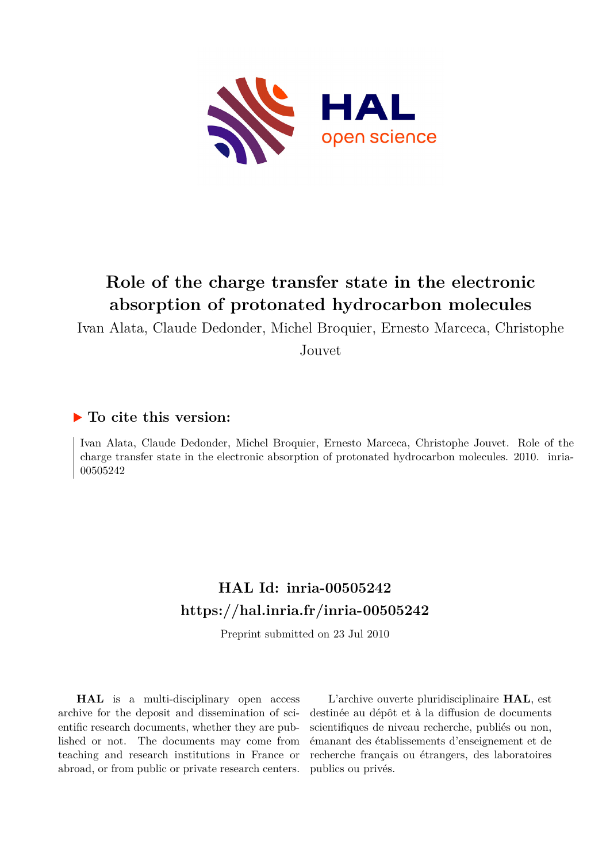

# **Role of the charge transfer state in the electronic absorption of protonated hydrocarbon molecules**

Ivan Alata, Claude Dedonder, Michel Broquier, Ernesto Marceca, Christophe

Jouvet

## **To cite this version:**

Ivan Alata, Claude Dedonder, Michel Broquier, Ernesto Marceca, Christophe Jouvet. Role of the charge transfer state in the electronic absorption of protonated hydrocarbon molecules. 2010. inria-00505242

## **HAL Id: inria-00505242 <https://hal.inria.fr/inria-00505242>**

Preprint submitted on 23 Jul 2010

**HAL** is a multi-disciplinary open access archive for the deposit and dissemination of scientific research documents, whether they are published or not. The documents may come from teaching and research institutions in France or abroad, or from public or private research centers.

L'archive ouverte pluridisciplinaire **HAL**, est destinée au dépôt et à la diffusion de documents scientifiques de niveau recherche, publiés ou non, émanant des établissements d'enseignement et de recherche français ou étrangers, des laboratoires publics ou privés.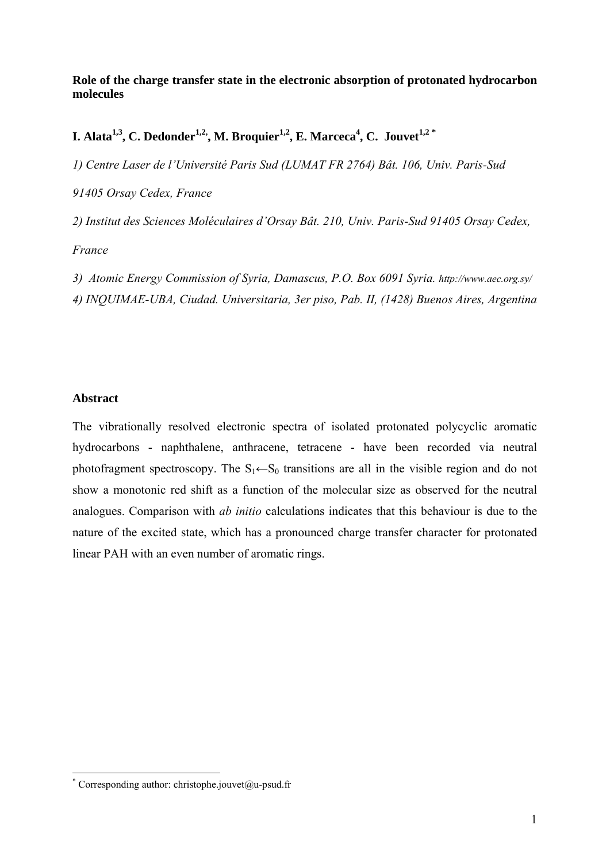#### **Role of the charge transfer state in the electronic absorption of protonated hydrocarbon molecules**

**I. Alata1,3, C. Dedonder1,2,, M. Broquier1,2, E. Marceca4 , C. Jouvet1,2 [\\*](#page-1-0)**

*1) Centre Laser de l'Université Paris Sud (LUMAT FR 2764) Bât. 106, Univ. Paris-Sud* 

*91405 Orsay Cedex, France* 

*2) Institut des Sciences Moléculaires d'Orsay Bât. 210, Univ. Paris-Sud 91405 Orsay Cedex,* 

*France* 

*3) Atomic Energy Commission of Syria, Damascus, P.O. Box 6091 Syria. http://www.aec.org.sy/ 4) INQUIMAE-UBA, Ciudad. Universitaria, 3er piso, Pab. II, (1428) Buenos Aires, Argentina* 

#### **Abstract**

The vibrationally resolved electronic spectra of isolated protonated polycyclic aromatic hydrocarbons - naphthalene, anthracene, tetracene - have been recorded via neutral photofragment spectroscopy. The  $S_1 \leftarrow S_0$  transitions are all in the visible region and do not show a monotonic red shift as a function of the molecular size as observed for the neutral analogues. Comparison with *ab initio* calculations indicates that this behaviour is due to the nature of the excited state, which has a pronounced charge transfer character for protonated linear PAH with an even number of aromatic rings.

<span id="page-1-0"></span> \* Corresponding author: christophe.jouvet@u-psud.fr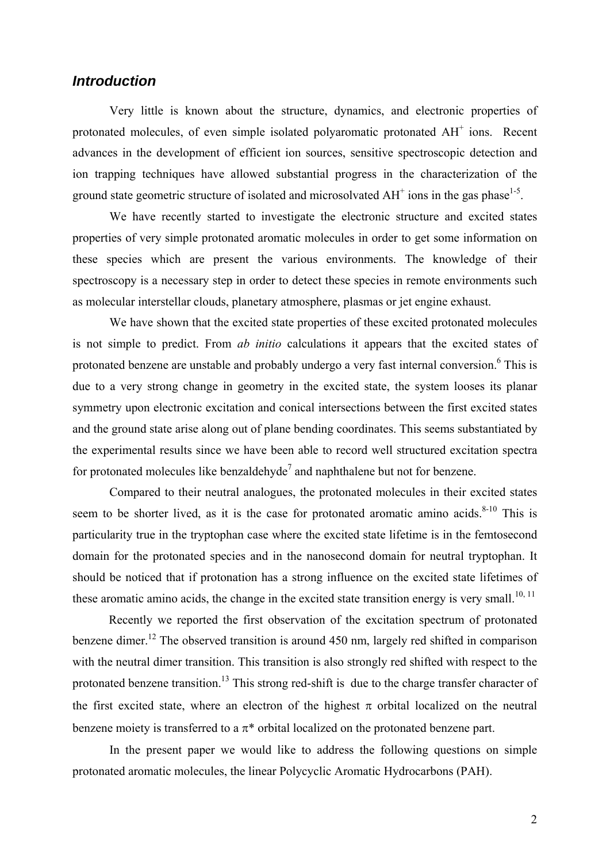### *Introduction*

Very little is known about the structure, dynamics, and electronic properties of protonated molecules, of even simple isolated polyaromatic protonated AH<sup>+</sup> ions. Recent advances in the development of efficient ion sources, sensitive spectroscopic detection and ion trapping techniques have allowed substantial progress in the characterization of the ground state geometric structure of isolated and microsolvated  $AH^+$  ions in the gas phase<sup>1-5</sup>.

We have recently started to investigate the electronic structure and excited states properties of very simple protonated aromatic molecules in order to get some information on these species which are present the various environments. The knowledge of their spectroscopy is a necessary step in order to detect these species in remote environments such as molecular interstellar clouds, planetary atmosphere, plasmas or jet engine exhaust.

We have shown that the excited state properties of these excited protonated molecules is not simple to predict. From *ab initio* calculations it appears that the excited states of protonated benzene are unstable and probably undergo a very fast internal conversion.<sup>6</sup> This is due to a very strong change in geometry in the excited state, the system looses its planar symmetry upon electronic excitation and conical intersections between the first excited states and the ground state arise along out of plane bending coordinates. This seems substantiated by the experimental results since we have been able to record well structured excitation spectra for protonated molecules like benzaldehyde<sup>7</sup> and naphthalene but not for benzene.

Compared to their neutral analogues, the protonated molecules in their excited states seem to be shorter lived, as it is the case for protonated aromatic amino acids. $8-10$  This is particularity true in the tryptophan case where the excited state lifetime is in the femtosecond domain for the protonated species and in the nanosecond domain for neutral tryptophan. It should be noticed that if protonation has a strong influence on the excited state lifetimes of these aromatic amino acids, the change in the excited state transition energy is very small.<sup>10, 11</sup>

Recently we reported the first observation of the excitation spectrum of protonated benzene dimer.<sup>12</sup> The observed transition is around 450 nm, largely red shifted in comparison with the neutral dimer transition. This transition is also strongly red shifted with respect to the protonated benzene transition.<sup>13</sup> This strong red-shift is due to the charge transfer character of the first excited state, where an electron of the highest  $\pi$  orbital localized on the neutral benzene moiety is transferred to a  $\pi^*$  orbital localized on the protonated benzene part.

In the present paper we would like to address the following questions on simple protonated aromatic molecules, the linear Polycyclic Aromatic Hydrocarbons (PAH).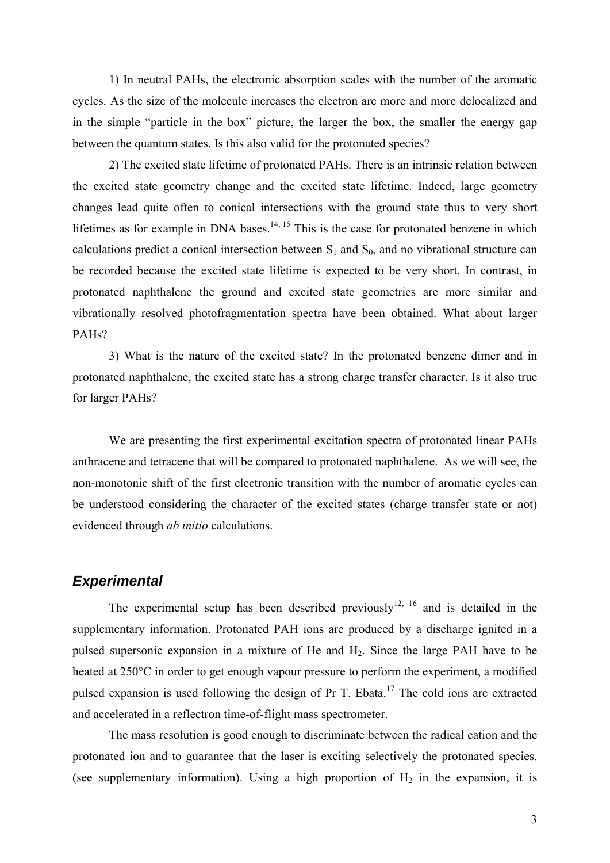1) In neutral PAHs, the electronic absorption scales with the number of the aromatic cycles. As the size of the molecule increases the electron are more and more delocalized and in the simple "particle in the box" picture, the larger the box, the smaller the energy gap between the quantum states. Is this also valid for the protonated species?

2) The excited state lifetime of protonated PAHs. There is an intrinsic relation between the excited state geometry change and the excited state lifetime. Indeed, large geometry changes lead quite often to conical intersections with the ground state thus to very short lifetimes as for example in DNA bases.<sup>14, 15</sup> This is the case for protonated benzene in which calculations predict a conical intersection between  $S_1$  and  $S_0$ , and no vibrational structure can be recorded because the excited state lifetime is expected to be very short. In contrast, in protonated naphthalene the ground and excited state geometries are more similar and vibrationally resolved photofragmentation spectra have been obtained. What about larger PAHs?

 3) What is the nature of the excited state? In the protonated benzene dimer and in protonated naphthalene, the excited state has a strong charge transfer character. Is it also true for larger PAHs?

We are presenting the first experimental excitation spectra of protonated linear PAHs anthracene and tetracene that will be compared to protonated naphthalene. As we will see, the non-monotonic shift of the first electronic transition with the number of aromatic cycles can be understood considering the character of the excited states (charge transfer state or not) evidenced through *ab initio* calculations.

#### *Experimental*

The experimental setup has been described previously<sup>12, 16</sup> and is detailed in the supplementary information. Protonated PAH ions are produced by a discharge ignited in a pulsed supersonic expansion in a mixture of He and H2. Since the large PAH have to be heated at 250°C in order to get enough vapour pressure to perform the experiment, a modified pulsed expansion is used following the design of Pr T. Ebata.<sup>17</sup> The cold ions are extracted and accelerated in a reflectron time-of-flight mass spectrometer.

The mass resolution is good enough to discriminate between the radical cation and the protonated ion and to guarantee that the laser is exciting selectively the protonated species. (see supplementary information). Using a high proportion of  $H_2$  in the expansion, it is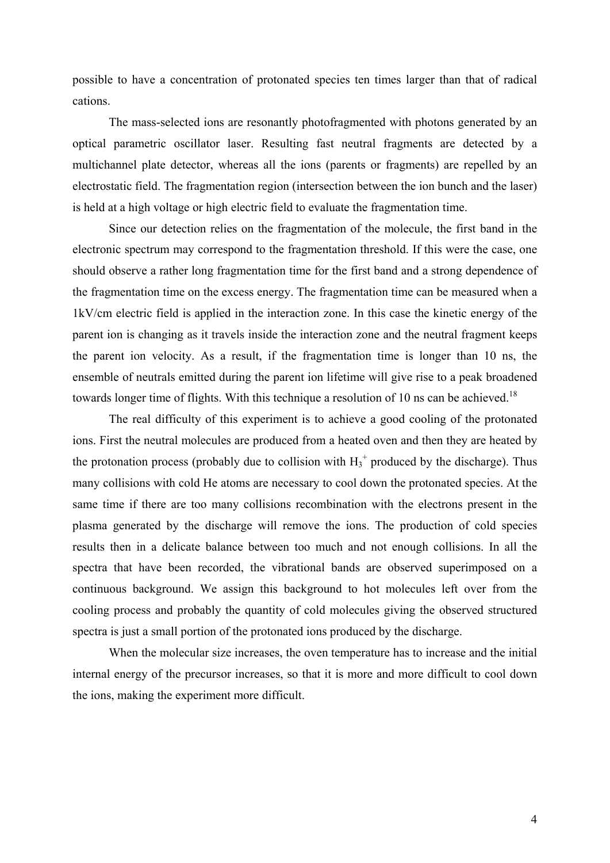possible to have a concentration of protonated species ten times larger than that of radical cations.

The mass-selected ions are resonantly photofragmented with photons generated by an optical parametric oscillator laser. Resulting fast neutral fragments are detected by a multichannel plate detector, whereas all the ions (parents or fragments) are repelled by an electrostatic field. The fragmentation region (intersection between the ion bunch and the laser) is held at a high voltage or high electric field to evaluate the fragmentation time.

Since our detection relies on the fragmentation of the molecule, the first band in the electronic spectrum may correspond to the fragmentation threshold. If this were the case, one should observe a rather long fragmentation time for the first band and a strong dependence of the fragmentation time on the excess energy. The fragmentation time can be measured when a 1kV/cm electric field is applied in the interaction zone. In this case the kinetic energy of the parent ion is changing as it travels inside the interaction zone and the neutral fragment keeps the parent ion velocity. As a result, if the fragmentation time is longer than 10 ns, the ensemble of neutrals emitted during the parent ion lifetime will give rise to a peak broadened towards longer time of flights. With this technique a resolution of 10 ns can be achieved.<sup>18</sup>

The real difficulty of this experiment is to achieve a good cooling of the protonated ions. First the neutral molecules are produced from a heated oven and then they are heated by the protonation process (probably due to collision with  $H_3^+$  produced by the discharge). Thus many collisions with cold He atoms are necessary to cool down the protonated species. At the same time if there are too many collisions recombination with the electrons present in the plasma generated by the discharge will remove the ions. The production of cold species results then in a delicate balance between too much and not enough collisions. In all the spectra that have been recorded, the vibrational bands are observed superimposed on a continuous background. We assign this background to hot molecules left over from the cooling process and probably the quantity of cold molecules giving the observed structured spectra is just a small portion of the protonated ions produced by the discharge.

When the molecular size increases, the oven temperature has to increase and the initial internal energy of the precursor increases, so that it is more and more difficult to cool down the ions, making the experiment more difficult.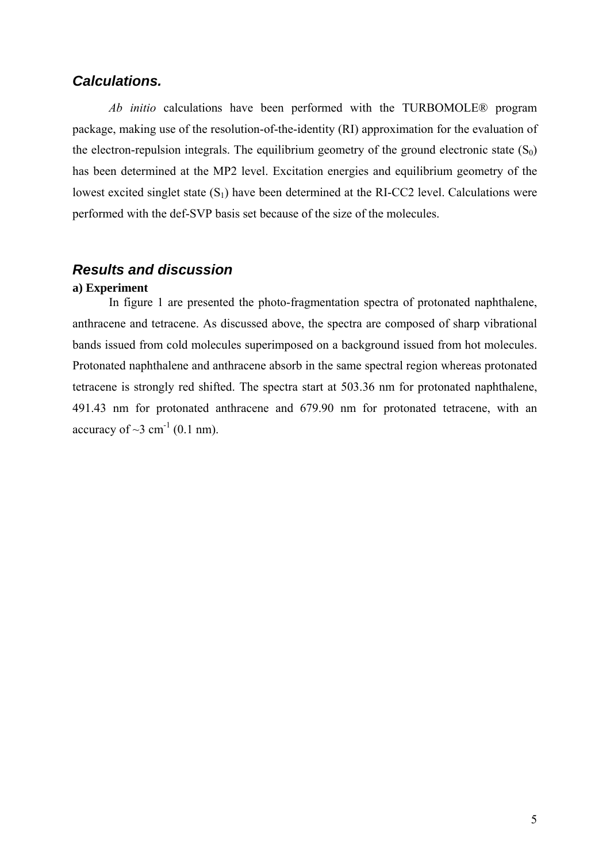## *Calculations.*

*Ab initio* calculations have been performed with the TURBOMOLE® program package, making use of the resolution-of-the-identity (RI) approximation for the evaluation of the electron-repulsion integrals. The equilibrium geometry of the ground electronic state  $(S_0)$ has been determined at the MP2 level. Excitation energies and equilibrium geometry of the lowest excited singlet state  $(S_1)$  have been determined at the RI-CC2 level. Calculations were performed with the def-SVP basis set because of the size of the molecules.

## *Results and discussion*

#### **a) Experiment**

In figure 1 are presented the photo-fragmentation spectra of protonated naphthalene, anthracene and tetracene. As discussed above, the spectra are composed of sharp vibrational bands issued from cold molecules superimposed on a background issued from hot molecules. Protonated naphthalene and anthracene absorb in the same spectral region whereas protonated tetracene is strongly red shifted. The spectra start at 503.36 nm for protonated naphthalene, 491.43 nm for protonated anthracene and 679.90 nm for protonated tetracene, with an accuracy of  $\sim$ 3 cm<sup>-1</sup> (0.1 nm).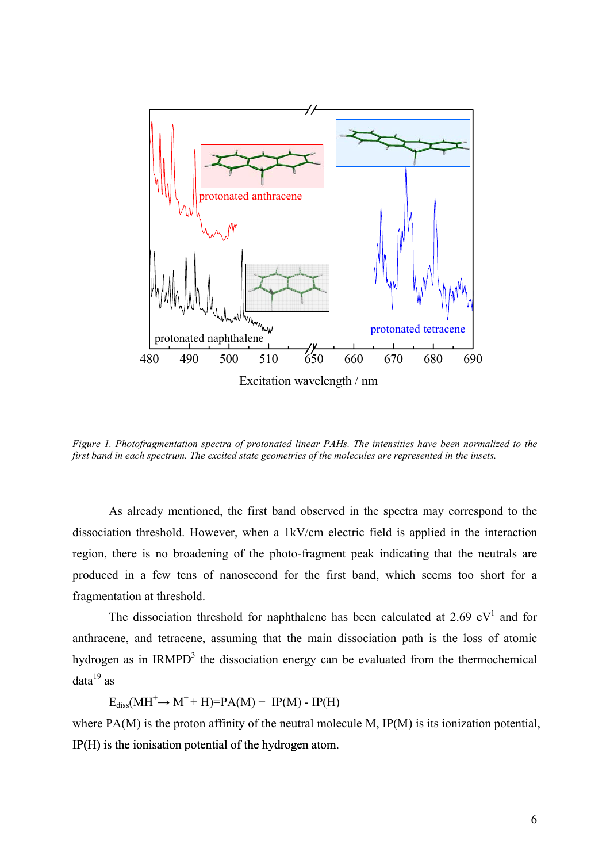

*Figure 1. Photofragmentation spectra of protonated linear PAHs. The intensities have been normalized to the first band in each spectrum. The excited state geometries of the molecules are represented in the insets.* 

As already mentioned, the first band observed in the spectra may correspond to the dissociation threshold. However, when a 1kV/cm electric field is applied in the interaction region, there is no broadening of the photo-fragment peak indicating that the neutrals are produced in a few tens of nanosecond for the first band, which seems too short for a fragmentation at threshold.

The dissociation threshold for naphthalene has been calculated at 2.69  $eV<sup>1</sup>$  and for anthracene, and tetracene, assuming that the main dissociation path is the loss of atomic hydrogen as in  $IRMPD<sup>3</sup>$  the dissociation energy can be evaluated from the thermochemical  $data^{19}$  as

 $E_{diss}(MH^+\rightarrow M^+ + H)=PA(M) + IP(M) - IP(H)$ 

where PA(M) is the proton affinity of the neutral molecule M, IP(M) is its ionization potential, IP(H) is the ionisation potential of the hydrogen atom.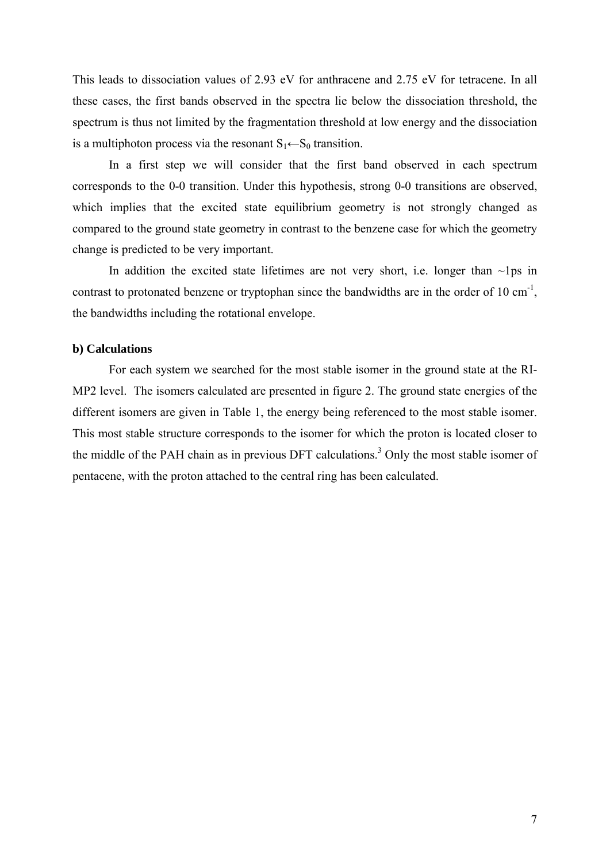This leads to dissociation values of 2.93 eV for anthracene and 2.75 eV for tetracene. In all these cases, the first bands observed in the spectra lie below the dissociation threshold, the spectrum is thus not limited by the fragmentation threshold at low energy and the dissociation is a multiphoton process via the resonant  $S_1 \leftarrow S_0$  transition.

In a first step we will consider that the first band observed in each spectrum corresponds to the 0-0 transition. Under this hypothesis, strong 0-0 transitions are observed, which implies that the excited state equilibrium geometry is not strongly changed as compared to the ground state geometry in contrast to the benzene case for which the geometry change is predicted to be very important.

In addition the excited state lifetimes are not very short, i.e. longer than  $\sim$ lps in contrast to protonated benzene or tryptophan since the bandwidths are in the order of 10 cm<sup>-1</sup>, the bandwidths including the rotational envelope.

#### **b) Calculations**

For each system we searched for the most stable isomer in the ground state at the RI-MP2 level. The isomers calculated are presented in figure 2. The ground state energies of the different isomers are given in Table 1, the energy being referenced to the most stable isomer. This most stable structure corresponds to the isomer for which the proton is located closer to the middle of the PAH chain as in previous DFT calculations.<sup>3</sup> Only the most stable isomer of pentacene, with the proton attached to the central ring has been calculated.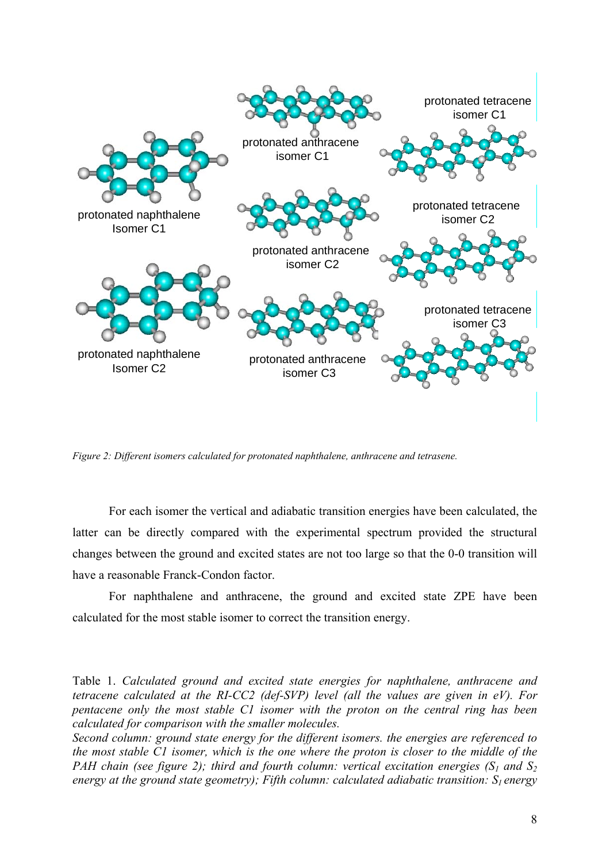

*Figure 2: Different isomers calculated for protonated naphthalene, anthracene and tetrasene.* 

For each isomer the vertical and adiabatic transition energies have been calculated, the latter can be directly compared with the experimental spectrum provided the structural changes between the ground and excited states are not too large so that the 0-0 transition will have a reasonable Franck-Condon factor.

For naphthalene and anthracene, the ground and excited state ZPE have been calculated for the most stable isomer to correct the transition energy.

Table 1. *Calculated ground and excited state energies for naphthalene, anthracene and tetracene calculated at the RI-CC2 (def-SVP) level (all the values are given in eV). For pentacene only the most stable C1 isomer with the proton on the central ring has been calculated for comparison with the smaller molecules.* 

*Second column: ground state energy for the different isomers. the energies are referenced to the most stable C1 isomer, which is the one where the proton is closer to the middle of the PAH chain (see figure 2); third and fourth column: vertical excitation energies (S<sub>1</sub> and S<sub>2</sub>) energy at the ground state geometry); Fifth column: calculated adiabatic transition: S<sub>1</sub> energy*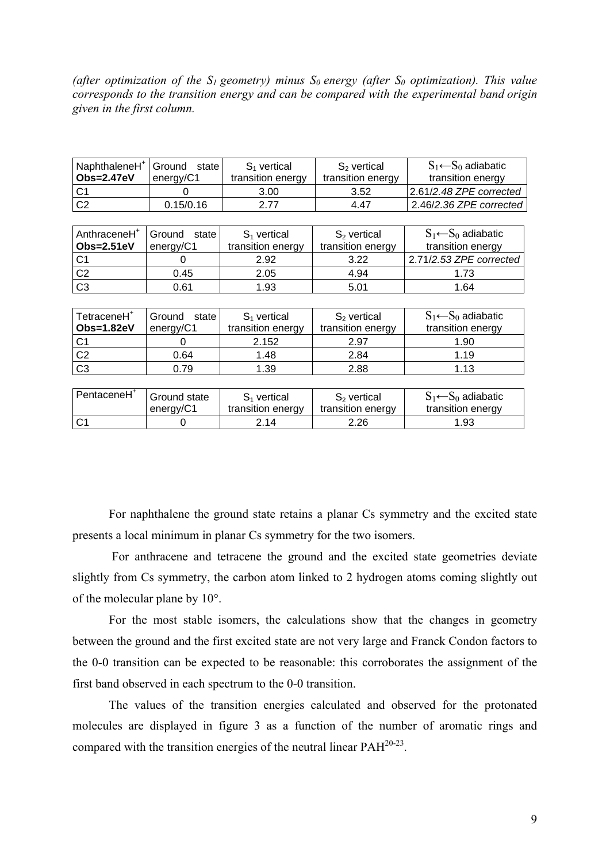(after optimization of the  $S_1$  geometry) minus  $S_0$  energy (after  $S_0$  optimization). This value *corresponds to the transition energy and can be compared with the experimental band origin given in the first column.* 

| NaphthaleneH <sup>+</sup><br><b>Obs=2.47eV</b> | Ground<br>state<br>energy/C1 | $S1$ vertical<br>transition energy | $S_2$ vertical<br>transition energy | $S_1 \leftarrow S_0$ adiabatic<br>transition energy |
|------------------------------------------------|------------------------------|------------------------------------|-------------------------------------|-----------------------------------------------------|
| C <sub>1</sub>                                 |                              | 3.00                               | 3.52                                | 2.61/2.48 ZPE corrected                             |
| C <sub>2</sub>                                 | 0.15/0.16                    | 2.77                               | 4.47                                | 2.46/2.36 ZPE corrected                             |
|                                                |                              |                                    |                                     |                                                     |
| AnthraceneH <sup>+</sup>                       | Ground<br>state              | $S_1$ vertical                     | $S2$ vertical                       | $S_1 \leftarrow S_0$ adiabatic                      |
| Obs=2.51eV                                     | energy/C1                    | transition energy                  | transition energy                   | transition energy                                   |
| C1                                             |                              | 2.92                               | 3.22                                | 2.71/2.53 ZPE corrected                             |

| TetraceneH <sup>+</sup> | Ground state | $S_1$ vertical    | $S2$ vertical     | $S_1 \leftarrow S_0$ adiabatic |
|-------------------------|--------------|-------------------|-------------------|--------------------------------|
| <b>Obs=1.82eV</b>       | energy/C1    | transition energy | transition energy | transition energy              |
| C <sub>1</sub>          |              | 2.152             | 2.97              | 1.90                           |
| C <sub>2</sub>          | 0.64         | 1.48              | 2.84              | 1.19                           |
| C <sub>3</sub>          | 0.79         | 1.39              | 2.88              | 1.13                           |
|                         |              |                   |                   |                                |

C2 0.45 2.05 4.94 1.73 C3 | 0.61 | 1.93 | 5.01 | 1.64

| PentaceneH <sup>+</sup> | Ground state | S <sub>1</sub> vertical | $S2$ vertical     | $S_1 \leftarrow S_0$ adiabatic |
|-------------------------|--------------|-------------------------|-------------------|--------------------------------|
|                         | energy/C1    | transition energy       | transition energy | transition energy              |
| C1                      |              | 2.14                    | 2.26              | 1.93                           |

For naphthalene the ground state retains a planar Cs symmetry and the excited state presents a local minimum in planar Cs symmetry for the two isomers.

 For anthracene and tetracene the ground and the excited state geometries deviate slightly from Cs symmetry, the carbon atom linked to 2 hydrogen atoms coming slightly out of the molecular plane by 10°.

For the most stable isomers, the calculations show that the changes in geometry between the ground and the first excited state are not very large and Franck Condon factors to the 0-0 transition can be expected to be reasonable: this corroborates the assignment of the first band observed in each spectrum to the 0-0 transition.

The values of the transition energies calculated and observed for the protonated molecules are displayed in figure 3 as a function of the number of aromatic rings and compared with the transition energies of the neutral linear PAH20-23.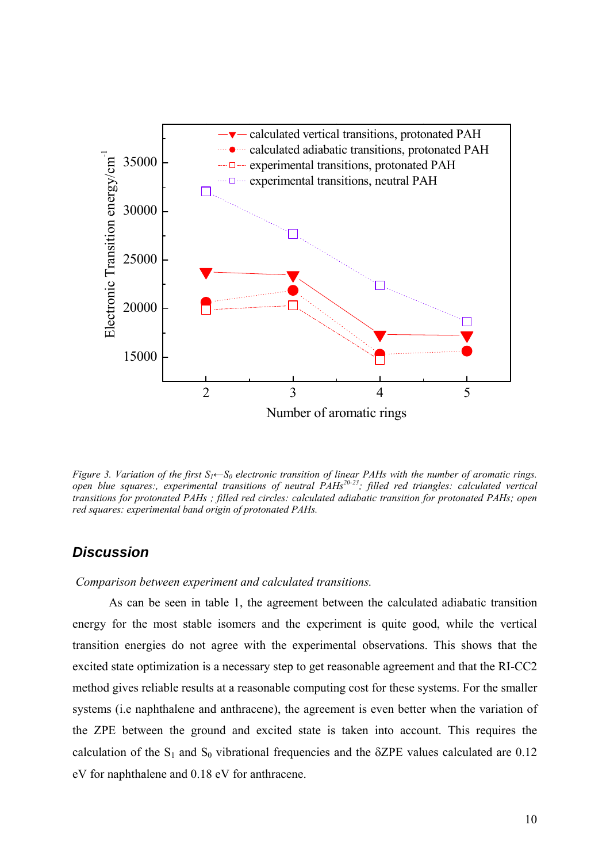

*Figure 3. Variation of the first S<sub>1</sub>←S<sub>0</sub> electronic transition of linear PAHs with the number of aromatic rings.* open blue squares:, experimental transitions of neutral PAHs<sup>20-23</sup>; filled red triangles: calculated vertical *transitions for protonated PAHs ; filled red circles: calculated adiabatic transition for protonated PAHs; open red squares: experimental band origin of protonated PAHs.* 

### *Discussion*

#### *Comparison between experiment and calculated transitions.*

 As can be seen in table 1, the agreement between the calculated adiabatic transition energy for the most stable isomers and the experiment is quite good, while the vertical transition energies do not agree with the experimental observations. This shows that the excited state optimization is a necessary step to get reasonable agreement and that the RI-CC2 method gives reliable results at a reasonable computing cost for these systems. For the smaller systems (i.e naphthalene and anthracene), the agreement is even better when the variation of the ZPE between the ground and excited state is taken into account. This requires the calculation of the  $S_1$  and  $S_0$  vibrational frequencies and the  $\delta ZPE$  values calculated are 0.12 eV for naphthalene and 0.18 eV for anthracene.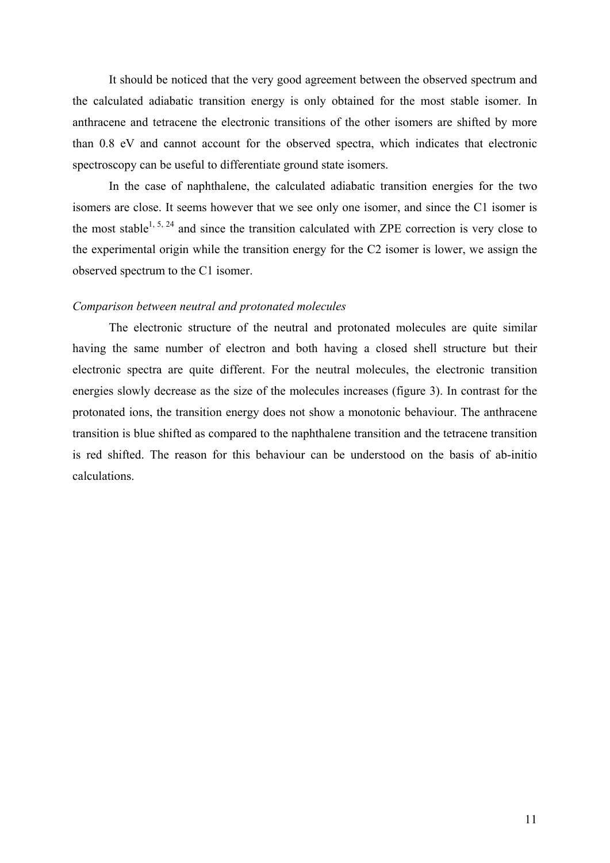It should be noticed that the very good agreement between the observed spectrum and the calculated adiabatic transition energy is only obtained for the most stable isomer. In anthracene and tetracene the electronic transitions of the other isomers are shifted by more than 0.8 eV and cannot account for the observed spectra, which indicates that electronic spectroscopy can be useful to differentiate ground state isomers.

In the case of naphthalene, the calculated adiabatic transition energies for the two isomers are close. It seems however that we see only one isomer, and since the C1 isomer is the most stable<sup>1, 5, 24</sup> and since the transition calculated with ZPE correction is very close to the experimental origin while the transition energy for the C2 isomer is lower, we assign the observed spectrum to the C1 isomer.

#### *Comparison between neutral and protonated molecules*

 The electronic structure of the neutral and protonated molecules are quite similar having the same number of electron and both having a closed shell structure but their electronic spectra are quite different. For the neutral molecules, the electronic transition energies slowly decrease as the size of the molecules increases (figure 3). In contrast for the protonated ions, the transition energy does not show a monotonic behaviour. The anthracene transition is blue shifted as compared to the naphthalene transition and the tetracene transition is red shifted. The reason for this behaviour can be understood on the basis of ab-initio calculations.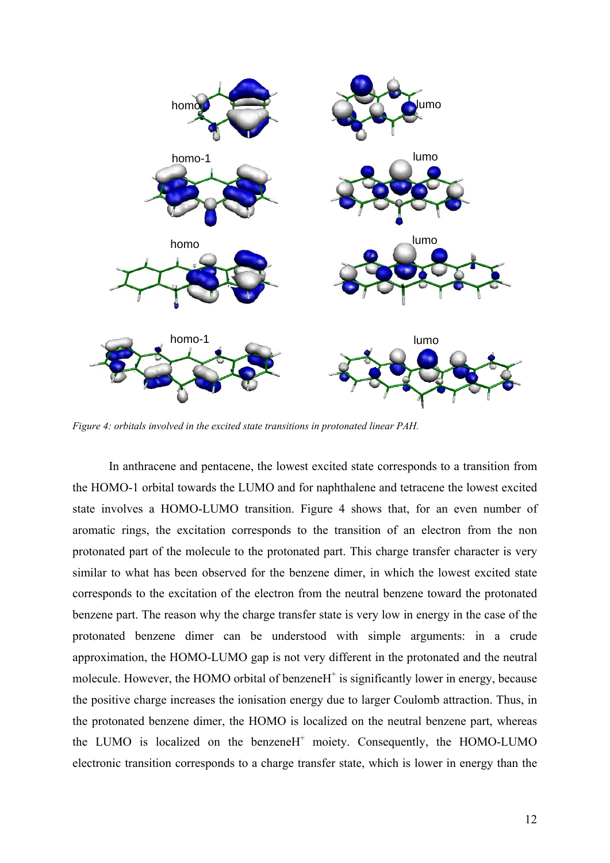

*Figure 4: orbitals involved in the excited state transitions in protonated linear PAH.* 

In anthracene and pentacene, the lowest excited state corresponds to a transition from the HOMO-1 orbital towards the LUMO and for naphthalene and tetracene the lowest excited state involves a HOMO-LUMO transition. Figure 4 shows that, for an even number of aromatic rings, the excitation corresponds to the transition of an electron from the non protonated part of the molecule to the protonated part. This charge transfer character is very similar to what has been observed for the benzene dimer, in which the lowest excited state corresponds to the excitation of the electron from the neutral benzene toward the protonated benzene part. The reason why the charge transfer state is very low in energy in the case of the protonated benzene dimer can be understood with simple arguments: in a crude approximation, the HOMO-LUMO gap is not very different in the protonated and the neutral molecule. However, the HOMO orbital of benzeneH<sup>+</sup> is significantly lower in energy, because the positive charge increases the ionisation energy due to larger Coulomb attraction. Thus, in the protonated benzene dimer, the HOMO is localized on the neutral benzene part, whereas the LUMO is localized on the benzeneH<sup>+</sup> moiety. Consequently, the HOMO-LUMO electronic transition corresponds to a charge transfer state, which is lower in energy than the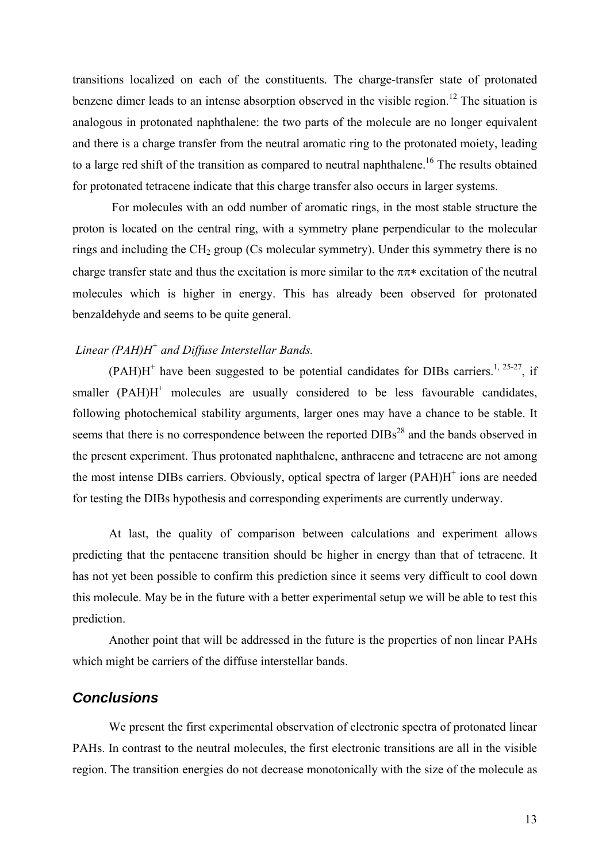transitions localized on each of the constituents. The charge-transfer state of protonated benzene dimer leads to an intense absorption observed in the visible region.<sup>12</sup> The situation is analogous in protonated naphthalene: the two parts of the molecule are no longer equivalent and there is a charge transfer from the neutral aromatic ring to the protonated moiety, leading to a large red shift of the transition as compared to neutral naphthalene.<sup>16</sup> The results obtained for protonated tetracene indicate that this charge transfer also occurs in larger systems.

 For molecules with an odd number of aromatic rings, in the most stable structure the proton is located on the central ring, with a symmetry plane perpendicular to the molecular rings and including the  $CH<sub>2</sub>$  group (Cs molecular symmetry). Under this symmetry there is no charge transfer state and thus the excitation is more similar to the  $\pi \pi*$  excitation of the neutral molecules which is higher in energy. This has already been observed for protonated benzaldehyde and seems to be quite general.

## *Linear (PAH)H+ and Diffuse Interstellar Bands.*

 $(PAH)H^+$  have been suggested to be potential candidates for DIBs carriers.<sup>1, 25-27</sup>, if smaller  $(PAH)H^+$  molecules are usually considered to be less favourable candidates, following photochemical stability arguments, larger ones may have a chance to be stable. It seems that there is no correspondence between the reported  $DIBs<sup>28</sup>$  and the bands observed in the present experiment. Thus protonated naphthalene, anthracene and tetracene are not among the most intense DIBs carriers. Obviously, optical spectra of larger  $(PAH)H^+$  ions are needed for testing the DIBs hypothesis and corresponding experiments are currently underway.

 At last, the quality of comparison between calculations and experiment allows predicting that the pentacene transition should be higher in energy than that of tetracene. It has not yet been possible to confirm this prediction since it seems very difficult to cool down this molecule. May be in the future with a better experimental setup we will be able to test this prediction.

Another point that will be addressed in the future is the properties of non linear PAHs which might be carriers of the diffuse interstellar bands.

#### *Conclusions*

We present the first experimental observation of electronic spectra of protonated linear PAHs. In contrast to the neutral molecules, the first electronic transitions are all in the visible region. The transition energies do not decrease monotonically with the size of the molecule as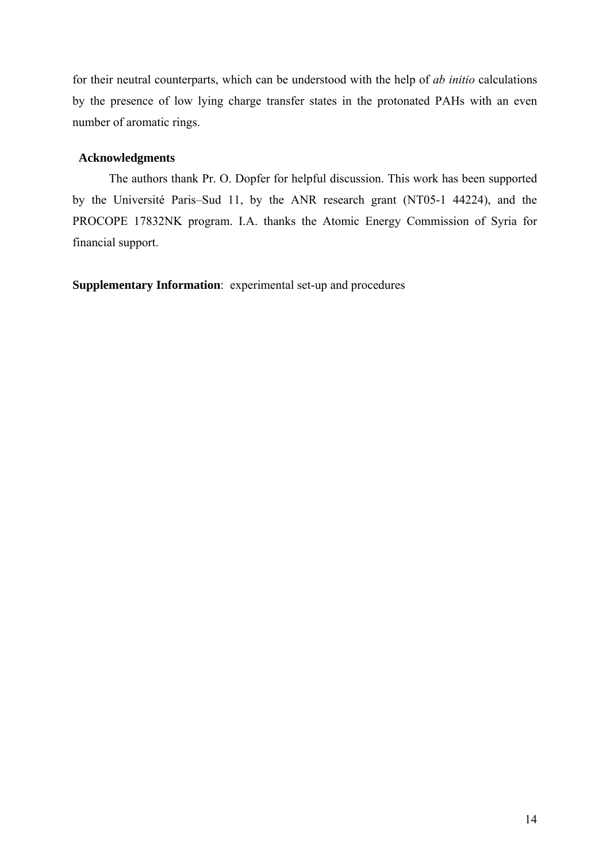for their neutral counterparts, which can be understood with the help of *ab initio* calculations by the presence of low lying charge transfer states in the protonated PAHs with an even number of aromatic rings.

### **Acknowledgments**

The authors thank Pr. O. Dopfer for helpful discussion. This work has been supported by the Université Paris–Sud 11, by the ANR research grant (NT05-1 44224), and the PROCOPE 17832NK program. I.A. thanks the Atomic Energy Commission of Syria for financial support.

**Supplementary Information**: experimental set-up and procedures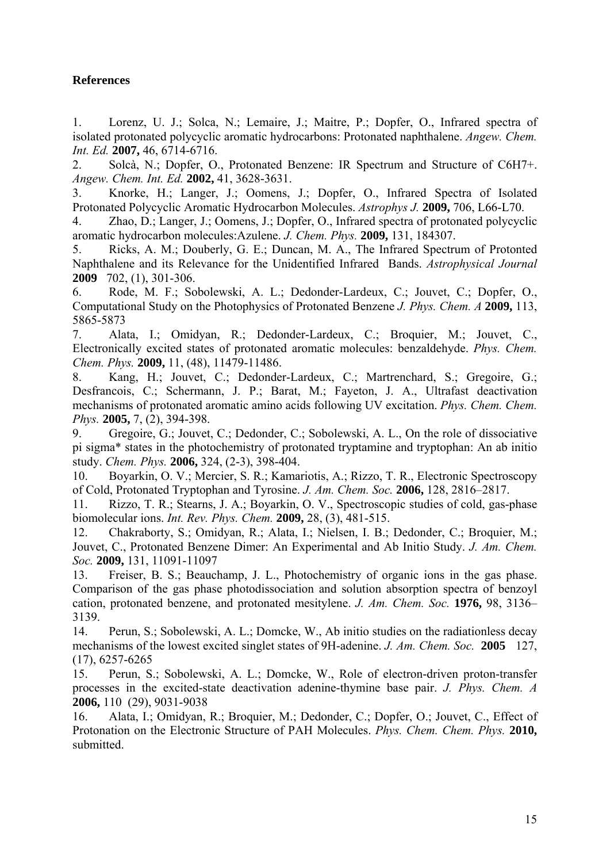## **References**

1. Lorenz, U. J.; Solca, N.; Lemaire, J.; Maitre, P.; Dopfer, O., Infrared spectra of isolated protonated polycyclic aromatic hydrocarbons: Protonated naphthalene. *Angew. Chem. Int. Ed.* **2007,** 46, 6714-6716.

2. Solcà, N.; Dopfer, O., Protonated Benzene: IR Spectrum and Structure of C6H7+. *Angew. Chem. Int. Ed.* **2002,** 41, 3628-3631.

3. Knorke, H.; Langer, J.; Oomens, J.; Dopfer, O., Infrared Spectra of Isolated Protonated Polycyclic Aromatic Hydrocarbon Molecules. *Astrophys J.* **2009,** 706, L66-L70.

4. Zhao, D.; Langer, J.; Oomens, J.; Dopfer, O., Infrared spectra of protonated polycyclic aromatic hydrocarbon molecules:Azulene. *J. Chem. Phys.* **2009,** 131, 184307.

5. Ricks, A. M.; Douberly, G. E.; Duncan, M. A., The Infrared Spectrum of Protonted Naphthalene and its Relevance for the Unidentified Infrared Bands. *Astrophysical Journal*  **2009** 702, (1), 301-306.

6. Rode, M. F.; Sobolewski, A. L.; Dedonder-Lardeux, C.; Jouvet, C.; Dopfer, O., Computational Study on the Photophysics of Protonated Benzene *J. Phys. Chem. A* **2009,** 113, 5865-5873

7. Alata, I.; Omidyan, R.; Dedonder-Lardeux, C.; Broquier, M.; Jouvet, C., Electronically excited states of protonated aromatic molecules: benzaldehyde. *Phys. Chem. Chem. Phys.* **2009,** 11, (48), 11479-11486.

8. Kang, H.; Jouvet, C.; Dedonder-Lardeux, C.; Martrenchard, S.; Gregoire, G.; Desfrancois, C.; Schermann, J. P.; Barat, M.; Fayeton, J. A., Ultrafast deactivation mechanisms of protonated aromatic amino acids following UV excitation. *Phys. Chem. Chem. Phys.* **2005,** 7, (2), 394-398.

9. Gregoire, G.; Jouvet, C.; Dedonder, C.; Sobolewski, A. L., On the role of dissociative pi sigma\* states in the photochemistry of protonated tryptamine and tryptophan: An ab initio study. *Chem. Phys.* **2006,** 324, (2-3), 398-404.

10. Boyarkin, O. V.; Mercier, S. R.; Kamariotis, A.; Rizzo, T. R., Electronic Spectroscopy of Cold, Protonated Tryptophan and Tyrosine. *J. Am. Chem. Soc.* **2006,** 128, 2816–2817.

11. Rizzo, T. R.; Stearns, J. A.; Boyarkin, O. V., Spectroscopic studies of cold, gas-phase biomolecular ions. *Int. Rev. Phys. Chem.* **2009,** 28, (3), 481-515.

12. Chakraborty, S.; Omidyan, R.; Alata, I.; Nielsen, I. B.; Dedonder, C.; Broquier, M.; Jouvet, C., Protonated Benzene Dimer: An Experimental and Ab Initio Study. *J. Am. Chem. Soc.* **2009,** 131, 11091-11097

13. Freiser, B. S.; Beauchamp, J. L., Photochemistry of organic ions in the gas phase. Comparison of the gas phase photodissociation and solution absorption spectra of benzoyl cation, protonated benzene, and protonated mesitylene. *J. Am. Chem. Soc.* **1976,** 98, 3136– 3139.

14. Perun, S.; Sobolewski, A. L.; Domcke, W., Ab initio studies on the radiationless decay mechanisms of the lowest excited singlet states of 9H-adenine. *J. Am. Chem. Soc.* **2005** 127, (17), 6257-6265

15. Perun, S.; Sobolewski, A. L.; Domcke, W., Role of electron-driven proton-transfer processes in the excited-state deactivation adenine-thymine base pair. *J. Phys. Chem. A*  **2006,** 110 (29), 9031-9038

16. Alata, I.; Omidyan, R.; Broquier, M.; Dedonder, C.; Dopfer, O.; Jouvet, C., Effect of Protonation on the Electronic Structure of PAH Molecules. *Phys. Chem. Chem. Phys.* **2010,** submitted.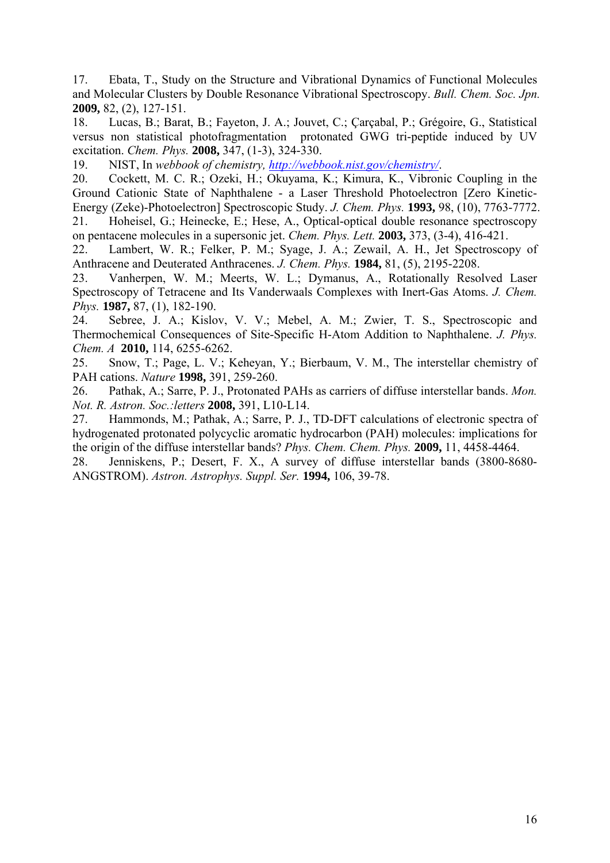17. Ebata, T., Study on the Structure and Vibrational Dynamics of Functional Molecules and Molecular Clusters by Double Resonance Vibrational Spectroscopy. *Bull. Chem. Soc. Jpn.*  **2009,** 82, (2), 127-151.

18. Lucas, B.; Barat, B.; Fayeton, J. A.; Jouvet, C.; Çarçabal, P.; Grégoire, G., Statistical versus non statistical photofragmentation protonated GWG tri-peptide induced by UV excitation. *Chem. Phys.* **2008,** 347, (1-3), 324-330.

19. NIST, In *webbook of chemistry, <http://webbook.nist.gov/chemistry/>*.

20. Cockett, M. C. R.; Ozeki, H.; Okuyama, K.; Kimura, K., Vibronic Coupling in the Ground Cationic State of Naphthalene - a Laser Threshold Photoelectron [Zero Kinetic-Energy (Zeke)-Photoelectron] Spectroscopic Study. *J. Chem. Phys.* **1993,** 98, (10), 7763-7772. 21. Hoheisel, G.; Heinecke, E.; Hese, A., Optical-optical double resonance spectroscopy

on pentacene molecules in a supersonic jet. *Chem. Phys. Lett.* **2003,** 373, (3-4), 416-421.

22. Lambert, W. R.; Felker, P. M.; Syage, J. A.; Zewail, A. H., Jet Spectroscopy of Anthracene and Deuterated Anthracenes. *J. Chem. Phys.* **1984,** 81, (5), 2195-2208.

23. Vanherpen, W. M.; Meerts, W. L.; Dymanus, A., Rotationally Resolved Laser Spectroscopy of Tetracene and Its Vanderwaals Complexes with Inert-Gas Atoms. *J. Chem. Phys.* **1987,** 87, (1), 182-190.

24. Sebree, J. A.; Kislov, V. V.; Mebel, A. M.; Zwier, T. S., Spectroscopic and Thermochemical Consequences of Site-Specific H-Atom Addition to Naphthalene. *J. Phys. Chem. A* **2010,** 114, 6255-6262.

25. Snow, T.; Page, L. V.; Keheyan, Y.; Bierbaum, V. M., The interstellar chemistry of PAH cations. *Nature* **1998,** 391, 259-260.

26. Pathak, A.; Sarre, P. J., Protonated PAHs as carriers of diffuse interstellar bands. *Mon. Not. R. Astron. Soc.:letters* **2008,** 391, L10-L14.

27. Hammonds, M.; Pathak, A.; Sarre, P. J., TD-DFT calculations of electronic spectra of hydrogenated protonated polycyclic aromatic hydrocarbon (PAH) molecules: implications for the origin of the diffuse interstellar bands? *Phys. Chem. Chem. Phys.* **2009,** 11, 4458-4464.

28. Jenniskens, P.; Desert, F. X., A survey of diffuse interstellar bands (3800-8680- ANGSTROM). *Astron. Astrophys. Suppl. Ser.* **1994,** 106, 39-78.